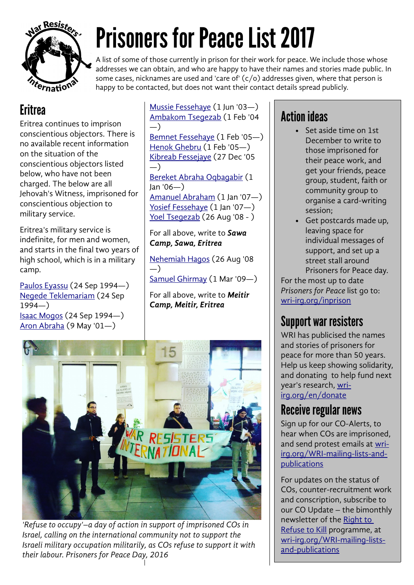

# Prisoners for Peace List 2017

A list of some of those currently in prison for their work for peace. We include those whose addresses we can obtain, and who are happy to have their names and stories made public. In some cases, nicknames are used and 'care of'  $(c/o)$  addresses given, where that person is happy to be contacted, but does not want their contact details spread publicly.

## **Eritrea**

Eritrea continues to imprison conscientious objectors. There is no available recent information on the situation of the conscientious objectors listed below, who have not been charged. The below are all Jehovah's Witness, imprisoned for conscientious objection to military service.

Eritrea's military service is indefinite, for men and women, and starts in the final two years of high school, which is in a military camp.

[Paulos Eyassu](http://wri-irg.org/node/3254) (24 Sep 1994—) [Negede Teklemariam](http://wri-irg.org/node/3257) (24 Sep 1994—) [Isaac Mogos](http://wri-irg.org/node/3259) (24 Sep 1994—) [Aron Abraha](http://wri-irg.org/node/3261) (9 May '01—)

[Mussie Fessehaye](http://wri-irg.org/node/3263) (1 Jun '03—) [Ambakom Tsegezab](http://wri-irg.org/node/3265) (1 Feb '04 —) [Bemnet Fessehaye](http://wri-irg.org/node/3267) (1 Feb '05—) [Henok Ghebru](http://wri-irg.org/node/3269) (1 Feb '05—) [Kibreab Fessejaye](http://wri-irg.org/node/3271) (27 Dec '05 —) [Bereket Abraha Oqbagabir](http://wri-irg.org/node/3273) (1 Jan '06—) [Amanuel Abraham](http://wri-irg.org/node/3277) (1 Jan '07—)

[Yosief Fessehaye](http://wri-irg.org/node/14002) (1 Jan '07-) [Yoel Tsegezab](http://wri-irg.org/node/14004) (26 Aug '08 - )

For all above, write to *Sawa Camp, Sawa, Eritrea*

[Nehemiah Hagos](http://wri-irg.org/node/14007) (26 Aug '08 —) [Samuel Ghirmay](http://wri-irg.org/node/14009) (1 Mar '09—)

For all above, write to *Meitir Camp, Meitir, Eritrea* 



*'Refuse to occupy'–a day of action in support of imprisoned COs in Israel, calling on the international community not to support the Israeli military occupation militarily, as COs refuse to support it with their labour. Prisoners for Peace Day, 2016*

# Action ideas

- Set aside time on 1st December to write to those imprisoned for their peace work, and get your friends, peace group, student, faith or community group to organise a card-writing session;
- Get postcards made up, leaving space for individual messages of support, and set up a street stall around Prisoners for Peace day.

For the most up to date *Prisoners for Peace* list go to: [wri-irg.org/inprison](http://wri-irg.org/inprison)

### Support war resisters

WRI has publicised the names and stories of prisoners for peace for more than 50 years. Help us keep showing solidarity, and donating to help fund next year's research, wriirg.org/en/donate

#### Receive regular news

Sign up for our CO-Alerts, to hear when COs are imprisoned, and send protest emails at wriirg.org/WRI-mailing-lists-andpublications

For updates on the status of COs, counter-recruitment work and conscription, subscribe to our CO Update – the bimonthly newsletter of the [Right to](http://wri-irg.org/programmes/rrtk)  [Refuse to Kill](http://wri-irg.org/programmes/rrtk) programme, at wri-irg.org/WRI-mailing-listsand-publications